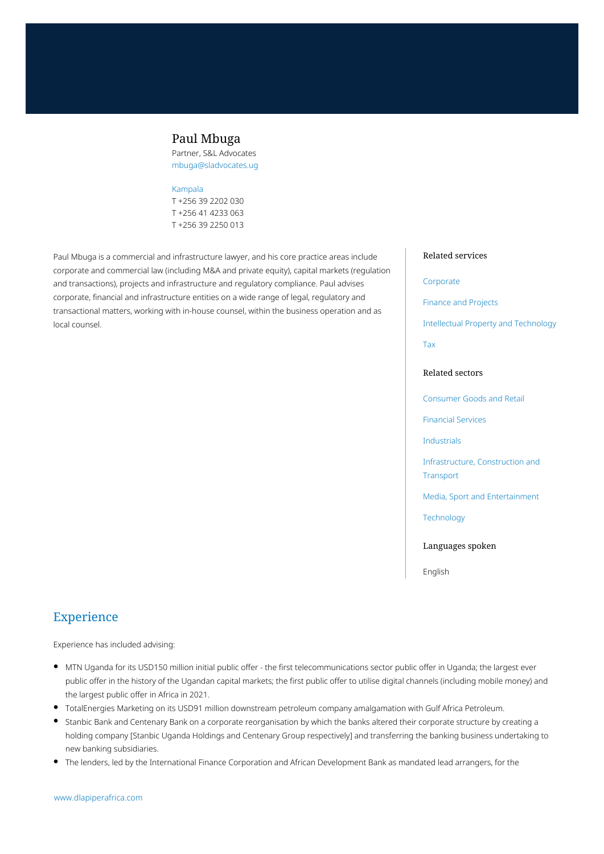## Paul Mbuga

Partner, S&L Advocates mbuga@sladvocates.ug

#### [Kampala](https://www.dlapiperafrica.com/uganda/locations/kampala.html)

T +256 39 2202 030 T +256 41 4233 063 T +256 39 2250 013

Paul Mbuga is a commercial and infrastructure lawyer, and his core practice areas include corporate and commercial law (including M&A and private equity), capital markets (regulation and transactions), projects and infrastructure and regulatory compliance. Paul advises corporate, financial and infrastructure entities on a wide range of legal, regulatory and transactional matters, working with in-house counsel, within the business operation and as local counsel.

### Related services

#### [Corporate](https://www.dlapiperafrica.com/en/uganda/services/corporate.html)

[Finance and Projects](https://www.dlapiperafrica.com/en/uganda/services/finance-and-projects.html)

[Intellectual Property and Technology](https://www.dlapiperafrica.com/en/uganda/services/intellectual-property-and-technology.html)

[Tax](https://www.dlapiperafrica.com/en/uganda/services/tax.html)

### Related sectors

[Consumer Goods and Retail](https://www.dlapiperafrica.com/en/uganda/sectors/consumer-goods-and-retail.html)

[Financial Services](https://www.dlapiperafrica.com/en/uganda/sectors/financial-services.html)

[Industrials](https://www.dlapiperafrica.com/en/tunisia/sectors/industrials.html)

[Infrastructure, Construction and](https://www.dlapiperafrica.com/en/uganda/sectors/infrastructure-construction-transport.html) [Transport](https://www.dlapiperafrica.com/en/uganda/sectors/infrastructure-construction-transport.html)

[Media, Sport and Entertainment](https://www.dlapiperafrica.com/en/uganda/sectors/media-sport-entertainment.html)

**[Technology](https://www.dlapiperafrica.com/en/uganda/sectors/technology.html)** 

#### Languages spoken

English

## Experience

Experience has included advising:

- MTN Uganda for its USD150 million initial public offer the first telecommunications sector public offer in Uganda; the largest ever public offer in the history of the Ugandan capital markets; the first public offer to utilise digital channels (including mobile money) and the largest public offer in Africa in 2021.
- TotalEnergies Marketing on its USD91 million downstream petroleum company amalgamation with Gulf Africa Petroleum.
- $\bullet$ Stanbic Bank and Centenary Bank on a corporate reorganisation by which the banks altered their corporate structure by creating a holding company [Stanbic Uganda Holdings and Centenary Group respectively] and transferring the banking business undertaking to new banking subsidiaries.
- The lenders, led by the International Finance Corporation and African Development Bank as mandated lead arrangers, for the